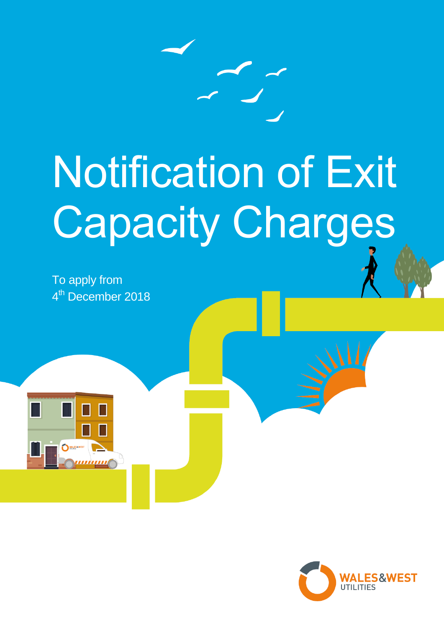

## Notification of Exit Capacity Charges

To apply from 4<sup>th</sup> December 2018

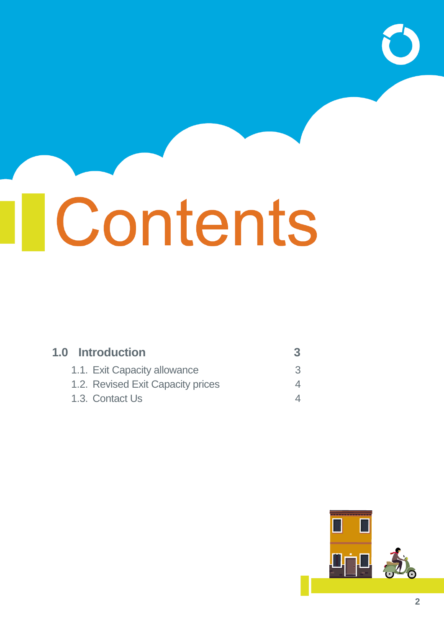# Tcontents

| <b>1.0 Introduction</b>           |     |
|-----------------------------------|-----|
| 1.1. Exit Capacity allowance      | 35. |
| 1.2. Revised Exit Capacity prices |     |
| 1.3. Contact Us                   |     |

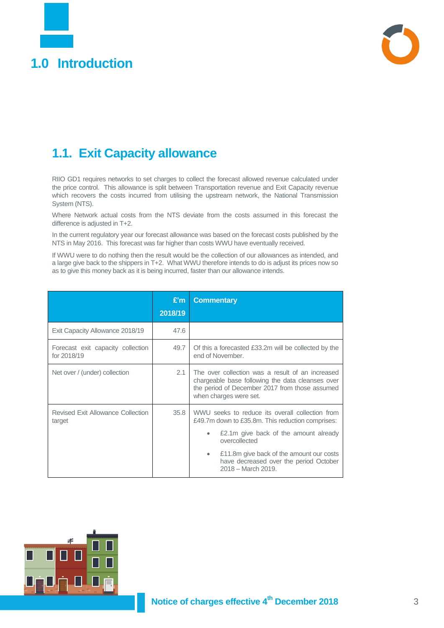<span id="page-2-0"></span>



### <span id="page-2-1"></span>**1.1. Exit Capacity allowance**

RIIO GD1 requires networks to set charges to collect the forecast allowed revenue calculated under the price control. This allowance is split between Transportation revenue and Exit Capacity revenue which recovers the costs incurred from utilising the upstream network, the National Transmission System (NTS).

Where Network actual costs from the NTS deviate from the costs assumed in this forecast the difference is adjusted in T+2.

In the current regulatory year our forecast allowance was based on the forecast costs published by the NTS in May 2016. This forecast was far higher than costs WWU have eventually received.

If WWU were to do nothing then the result would be the collection of our allowances as intended, and a large give back to the shippers in T+2. What WWU therefore intends to do is adjust its prices now so as to give this money back as it is being incurred, faster than our allowance intends.

|                                                    | E'm     | <b>Commentary</b>                                                                                                                                                                                                                                                                           |  |
|----------------------------------------------------|---------|---------------------------------------------------------------------------------------------------------------------------------------------------------------------------------------------------------------------------------------------------------------------------------------------|--|
|                                                    | 2018/19 |                                                                                                                                                                                                                                                                                             |  |
| Exit Capacity Allowance 2018/19                    | 47.6    |                                                                                                                                                                                                                                                                                             |  |
| Forecast exit capacity collection<br>for 2018/19   | 49.7    | Of this a forecasted £33.2m will be collected by the<br>end of November.                                                                                                                                                                                                                    |  |
| Net over / (under) collection                      | 2.1     | The over collection was a result of an increased<br>chargeable base following the data cleanses over<br>the period of December 2017 from those assumed<br>when charges were set.                                                                                                            |  |
| <b>Revised Exit Allowance Collection</b><br>target | 35.8    | WWU seeks to reduce its overall collection from<br>£49.7m down to £35.8m. This reduction comprises:<br>£2.1m give back of the amount already<br>٠<br>overcollected<br>£11.8m give back of the amount our costs<br>$\bullet$<br>have decreased over the period October<br>2018 - March 2019. |  |